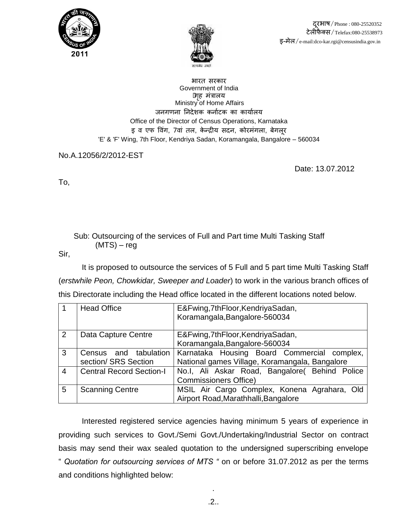



भारत सरकार Government of India •गहृ मंत्राऱय Ministry of Home Affairs जनगणना निदेशक कर्नाटक का कार्यालय Office of the Director of Census Operations, Karnataka इ व एफ विंग, 7वां तल, केन्द्रीय सदन, कोरमंगला, बेगलूर 'E' & 'F' Wing, 7th Floor, Kendriya Sadan, Koramangala, Bangalore – 560034

No.A.12056/2/2012-EST

Date: 13.07.2012

To,

 Sub: Outsourcing of the services of Full and Part time Multi Tasking Staff (MTS) – reg

Sir,

It is proposed to outsource the services of 5 Full and 5 part time Multi Tasking Staff (*erstwhile Peon, Chowkidar, Sweeper and Loader*) to work in the various branch offices of this Directorate including the Head office located in the different locations noted below.

| $\overline{1}$ | <b>Head Office</b>              | E&Fwing, 7th Floor, Kendriya Sadan,            |
|----------------|---------------------------------|------------------------------------------------|
|                |                                 | Koramangala, Bangalore-560034                  |
| $\overline{2}$ | Data Capture Centre             | E&Fwing, 7th Floor, Kendriya Sadan,            |
|                |                                 | Koramangala, Bangalore-560034                  |
| $\mathbf{3}$   | and tabulation<br>Census        | Karnataka Housing Board Commercial complex,    |
|                | section/ SRS Section            | National games Village, Koramangala, Bangalore |
| $\overline{4}$ | <b>Central Record Section-I</b> | No.I, Ali Askar Road, Bangalore( Behind Police |
|                |                                 | <b>Commissioners Office)</b>                   |
| 5              | <b>Scanning Centre</b>          | MSIL Air Cargo Complex, Konena Agrahara, Old   |
|                |                                 | Airport Road, Marathhalli, Bangalore           |

Interested registered service agencies having minimum 5 years of experience in providing such services to Govt./Semi Govt./Undertaking/Industrial Sector on contract basis may send their wax sealed quotation to the undersigned superscribing envelope " *Quotation for outsourcing services of MTS "* on or before 31.07.2012 as per the terms and conditions highlighted below:

.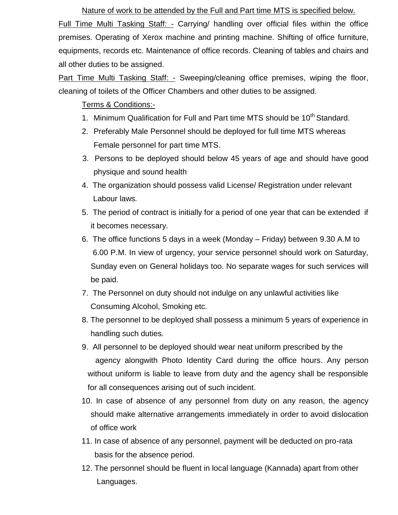Nature of work to be attended by the Full and Part time MTS is specified below. Full Time Multi Tasking Staff: - Carrying/ handling over official files within the office premises. Operating of Xerox machine and printing machine. Shifting of office furniture, equipments, records etc. Maintenance of office records. Cleaning of tables and chairs and all other duties to be assigned.

Part Time Multi Tasking Staff: - Sweeping/cleaning office premises, wiping the floor, cleaning of toilets of the Officer Chambers and other duties to be assigned.

Terms & Conditions:-

- 1. Minimum Qualification for Full and Part time MTS should be 10<sup>th</sup> Standard.
- 2. Preferably Male Personnel should be deployed for full time MTS whereas Female personnel for part time MTS.
- 3. Persons to be deployed should below 45 years of age and should have good physique and sound health
- 4. The organization should possess valid License/ Registration under relevant Labour laws*.*
- 5. The period of contract is initially for a period of one year that can be extended if it becomes necessary.
- 6. The office functions 5 days in a week (Monday Friday) between 9.30 A.M to 6.00 P.M. In view of urgency, your service personnel should work on Saturday, Sunday even on General holidays too. No separate wages for such services will be paid.
- 7. The Personnel on duty should not indulge on any unlawful activities like Consuming Alcohol, Smoking etc.
- 8. The personnel to be deployed shall possess a minimum 5 years of experience in handling such duties.
- 9. All personnel to be deployed should wear neat uniform prescribed by the agency alongwith Photo Identity Card during the office hours. Any person without uniform is liable to leave from duty and the agency shall be responsible for all consequences arising out of such incident.
- 10. In case of absence of any personnel from duty on any reason, the agency should make alternative arrangements immediately in order to avoid dislocation of office work
- 11. In case of absence of any personnel, payment will be deducted on pro-rata basis for the absence period.
- 12. The personnel should be fluent in local language (Kannada) apart from other Languages.